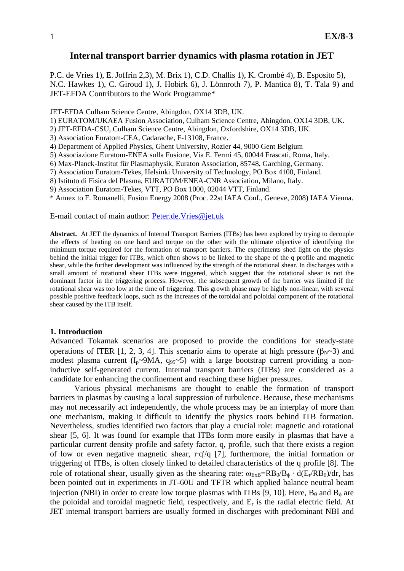# **Internal transport barrier dynamics with plasma rotation in JET**

P.C. de Vries 1), E. Joffrin 2,3), M. Brix 1), C.D. Challis 1), K. Crombé 4), B. Esposito 5), N.C. Hawkes 1), C. Giroud 1), J. Hobirk 6), J. Lönnroth 7), P. Mantica 8), T. Tala 9) and JET-EFDA Contributors to the Work Programme\*

JET-EFDA Culham Science Centre, Abingdon, OX14 3DB, UK.

1) EURATOM/UKAEA Fusion Association, Culham Science Centre, Abingdon, OX14 3DB, UK.

2) JET-EFDA-CSU, Culham Science Centre, Abingdon, Oxfordshire, OX14 3DB, UK.

3) Association Euratom-CEA, Cadarache, F-13108, France.

4) Department of Applied Physics, Ghent University, Rozier 44, 9000 Gent Belgium

5) Associazione Euratom-ENEA sulla Fusione, Via E. Fermi 45, 00044 Frascati, Roma, Italy.

6) Max-Planck-Institut für Plasmaphysik, Euraton Association, 85748, Garching, Germany.

7) Association Euratom-Tekes, Helsinki University of Technology, PO Box 4100, Finland.

8) Istituto di Fisica del Plasma, EURATOM/ENEA-CNR Association, Milano, Italy.

9) Association Euratom-Tekes, VTT, PO Box 1000, 02044 VTT, Finland.

\* Annex to F. Romanelli, Fusion Energy 2008 (Proc. 22st IAEA Conf., Geneve, 2008) IAEA Vienna.

E-mail contact of main author: Peter.de.Vries@jet.uk

**Abstract.** At JET the dynamics of Internal Transport Barriers (ITBs) has been explored by trying to decouple the effects of heating on one hand and torque on the other with the ultimate objective of identifying the minimum torque required for the formation of transport barriers. The experiments shed light on the physics behind the initial trigger for ITBs, which often shows to be linked to the shape of the q profile and magnetic shear, while the further development was influenced by the strength of the rotational shear. In discharges with a small amount of rotational shear ITBs were triggered, which suggest that the rotational shear is not the dominant factor in the triggering process. However, the subsequent growth of the barrier was limited if the rotational shear was too low at the time of triggering. This growth phase may be highly non-linear, with several possible positive feedback loops, such as the increases of the toroidal and poloidal component of the rotational shear caused by the ITB itself.

#### **1. Introduction**

Advanced Tokamak scenarios are proposed to provide the conditions for steady-state operations of ITER [1, 2, 3, 4]. This scenario aims to operate at high pressure ( $β_N~3$ ) and modest plasma current  $(I_n \sim 9MA, q_{95} \sim 5)$  with a large bootstrap current providing a noninductive self-generated current. Internal transport barriers (ITBs) are considered as a candidate for enhancing the confinement and reaching these higher pressures.

Various physical mechanisms are thought to enable the formation of transport barriers in plasmas by causing a local suppression of turbulence. Because, these mechanisms may not necessarily act independently, the whole process may be an interplay of more than one mechanism, making it difficult to identify the physics roots behind ITB formation. Nevertheless, studies identified two factors that play a crucial role: magnetic and rotational shear [5, 6]. It was found for example that ITBs form more easily in plasmas that have a particular current density profile and safety factor, q, profile, such that there exists a region of low or even negative magnetic shear, r·q'/q [7], furthermore, the initial formation or triggering of ITBs, is often closely linked to detailed characteristics of the q profile [8]. The role of rotational shear, usually given as the shearing rate:  $\omega_{ExB} = RB_{\theta}/B_{\phi} \cdot d(E_{r}/RB_{\theta})/dr$ , has been pointed out in experiments in JT-60U and TFTR which applied balance neutral beam injection (NBI) in order to create low torque plasmas with ITBs [9, 10]. Here,  $B_\theta$  and  $B_\phi$  are the poloidal and toroidal magnetic field, respectively, and Er is the radial electric field. At JET internal transport barriers are usually formed in discharges with predominant NBI and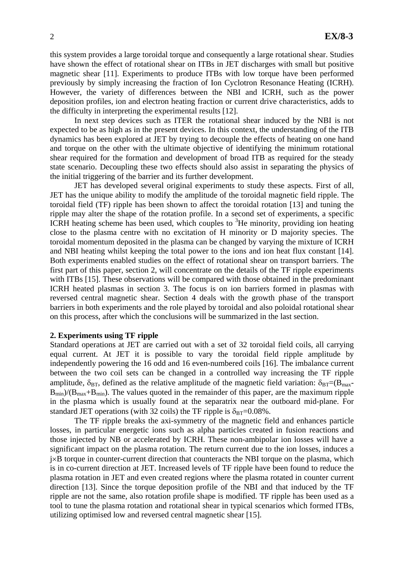this system provides a large toroidal torque and consequently a large rotational shear. Studies have shown the effect of rotational shear on ITBs in JET discharges with small but positive magnetic shear [11]. Experiments to produce ITBs with low torque have been performed previously by simply increasing the fraction of Ion Cyclotron Resonance Heating (ICRH). However, the variety of differences between the NBI and ICRH, such as the power deposition profiles, ion and electron heating fraction or current drive characteristics, adds to the difficulty in interpreting the experimental results [12].

In next step devices such as ITER the rotational shear induced by the NBI is not expected to be as high as in the present devices. In this context, the understanding of the ITB dynamics has been explored at JET by trying to decouple the effects of heating on one hand and torque on the other with the ultimate objective of identifying the minimum rotational shear required for the formation and development of broad ITB as required for the steady state scenario. Decoupling these two effects should also assist in separating the physics of the initial triggering of the barrier and its further development.

JET has developed several original experiments to study these aspects. First of all, JET has the unique ability to modify the amplitude of the toroidal magnetic field ripple. The toroidal field (TF) ripple has been shown to affect the toroidal rotation [13] and tuning the ripple may alter the shape of the rotation profile. In a second set of experiments, a specific ICRH heating scheme has been used, which couples to  ${}^{3}$ He minority, providing ion heating close to the plasma centre with no excitation of H minority or D majority species. The toroidal momentum deposited in the plasma can be changed by varying the mixture of ICRH and NBI heating whilst keeping the total power to the ions and ion heat flux constant [14]. Both experiments enabled studies on the effect of rotational shear on transport barriers. The first part of this paper, section 2, will concentrate on the details of the TF ripple experiments with ITBs [15]. These observations will be compared with those obtained in the predominant ICRH heated plasmas in section 3. The focus is on ion barriers formed in plasmas with reversed central magnetic shear. Section 4 deals with the growth phase of the transport barriers in both experiments and the role played by toroidal and also poloidal rotational shear on this process, after which the conclusions will be summarized in the last section.

#### **2. Experiments using TF ripple**

Standard operations at JET are carried out with a set of 32 toroidal field coils, all carrying equal current. At JET it is possible to vary the toroidal field ripple amplitude by independently powering the 16 odd and 16 even-numbered coils [16]. The imbalance current between the two coil sets can be changed in a controlled way increasing the TF ripple amplitude,  $\delta_{BT}$ , defined as the relative amplitude of the magnetic field variation:  $\delta_{BT}=(B_{\text{max}}-B_{\text{max}}-B_{\text{max}}-B_{\text{max}}-B_{\text{max}}-B_{\text{max}}-B_{\text{max}}-B_{\text{max}}-B_{\text{max}}-B_{\text{max}}-B_{\text{max}}-B_{\text{max}}-B_{\text{max}}-B_{\text{max}}-B_{\text{max}}-B_{\text{max}}$  $B_{\text{min}}/(B_{\text{max}}+B_{\text{min}})$ . The values quoted in the remainder of this paper, are the maximum ripple in the plasma which is usually found at the separatrix near the outboard mid-plane. For standard JET operations (with 32 coils) the TF ripple is  $\delta_{\text{BT}}=0.08\%$ .

 The TF ripple breaks the axi-symmetry of the magnetic field and enhances particle losses, in particular energetic ions such as alpha particles created in fusion reactions and those injected by NB or accelerated by ICRH. These non-ambipolar ion losses will have a significant impact on the plasma rotation. The return current due to the ion losses, induces a j×B torque in counter-current direction that counteracts the NBI torque on the plasma, which is in co-current direction at JET. Increased levels of TF ripple have been found to reduce the plasma rotation in JET and even created regions where the plasma rotated in counter current direction [13]. Since the torque deposition profile of the NBI and that induced by the TF ripple are not the same, also rotation profile shape is modified. TF ripple has been used as a tool to tune the plasma rotation and rotational shear in typical scenarios which formed ITBs, utilizing optimised low and reversed central magnetic shear [15].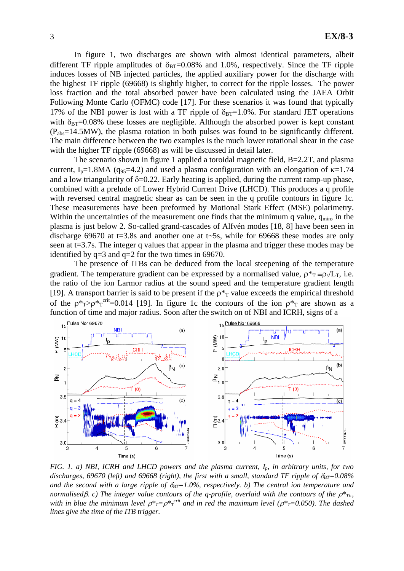In figure 1, two discharges are shown with almost identical parameters, albeit different TF ripple amplitudes of  $\delta_{BT}=0.08\%$  and 1.0%, respectively. Since the TF ripple induces losses of NB injected particles, the applied auxiliary power for the discharge with the highest TF ripple (69668) is slightly higher, to correct for the ripple losses. The power loss fraction and the total absorbed power have been calculated using the JAEA Orbit Following Monte Carlo (OFMC) code [17]. For these scenarios it was found that typically 17% of the NBI power is lost with a TF ripple of  $\delta_{BT}=1.0\%$ . For standard JET operations with  $\delta_{\text{BT}}=0.08\%$  these losses are negligible. Although the absorbed power is kept constant (Pabs=14.5MW), the plasma rotation in both pulses was found to be significantly different. The main difference between the two examples is the much lower rotational shear in the case with the higher TF ripple (69668) as will be discussed in detail later.

 The scenario shown in figure 1 applied a toroidal magnetic field, B=2.2T, and plasma current, I<sub>p</sub>=1.8MA (q<sub>95</sub>=4.2) and used a plasma configuration with an elongation of  $\kappa$ =1.74 and a low triangularity of  $\delta = 0.22$ . Early heating is applied, during the current ramp-up phase, combined with a prelude of Lower Hybrid Current Drive (LHCD). This produces a q profile with reversed central magnetic shear as can be seen in the q profile contours in figure 1c. These measurements have been preformed by Motional Stark Effect (MSE) polarimetry. Within the uncertainties of the measurement one finds that the minimum q value,  $q_{min}$ , in the plasma is just below 2. So-called grand-cascades of Alfvén modes [18, 8] have been seen in discharge 69670 at t=3.8s and another one at t~5s, while for 69668 these modes are only seen at t=3.7s. The integer q values that appear in the plasma and trigger these modes may be identified by  $q=3$  and  $q=2$  for the two times in 69670.

 The presence of ITBs can be deduced from the local steepening of the temperature gradient. The temperature gradient can be expressed by a normalised value,  $\rho^*T = \rho_s/L_T$ , i.e. the ratio of the ion Larmor radius at the sound speed and the temperature gradient length [19]. A transport barrier is said to be present if the  $p*_{T}$  value exceeds the empirical threshold of the  $p^*_{T} > p^*_{T}^{crit} = 0.014$  [19]. In figure 1c the contours of the ion  $p^*_{T}$  are shown as a function of time and major radius. Soon after the switch on of NBI and ICRH, signs of a



*FIG. 1. a) NBI, ICRH and LHCD powers and the plasma current, I<sub>p</sub>, in arbitrary units, for two* discharges, 69670 (left) and 69668 (right), the first with a small, standard TF ripple of  $\delta_{BT}=0.08\%$ and the second with a large ripple of  $\delta_{BT}=1.0\%$ , respectively. b) The central ion temperature and *normalised* $\beta$ *. c)* The integer value contours of the q-profile, overlaid with the contours of the  $\rho^*_{T_i}$ . *with in blue the minimum level*  $\rho^*$ *<sub>T</sub>*= $\rho^*$ <sub>T</sub><sup>-crit</sup> and in red the maximum level ( $\rho^*$ <sub>T</sub>=0.050). The dashed *lines give the time of the ITB trigger.*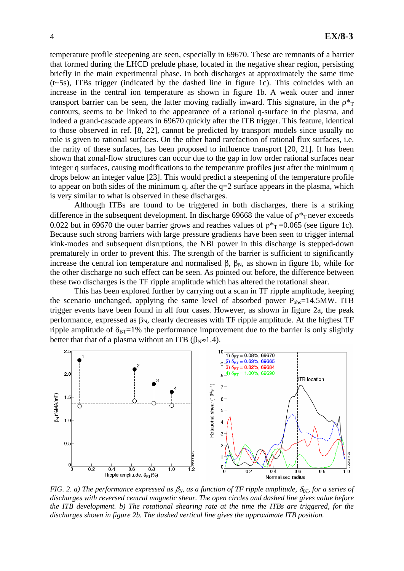temperature profile steepening are seen, especially in 69670. These are remnants of a barrier that formed during the LHCD prelude phase, located in the negative shear region, persisting briefly in the main experimental phase. In both discharges at approximately the same time  $(t\sim 5s)$ , ITBs trigger (indicated by the dashed line in figure 1c). This coincides with an increase in the central ion temperature as shown in figure 1b. A weak outer and inner transport barrier can be seen, the latter moving radially inward. This signature, in the  $p^*$ contours, seems to be linked to the appearance of a rational q-surface in the plasma, and indeed a grand-cascade appears in 69670 quickly after the ITB trigger. This feature, identical to those observed in ref. [8, 22], cannot be predicted by transport models since usually no role is given to rational surfaces. On the other hand rarefaction of rational flux surfaces, i.e. the rarity of these surfaces, has been proposed to influence transport [20, 21]. It has been shown that zonal-flow structures can occur due to the gap in low order rational surfaces near integer q surfaces, causing modifications to the temperature profiles just after the minimum q drops below an integer value [23]. This would predict a steepening of the temperature profile to appear on both sides of the minimum q, after the  $q=2$  surface appears in the plasma, which is very similar to what is observed in these discharges.

Although ITBs are found to be triggered in both discharges, there is a striking difference in the subsequent development. In discharge 69668 the value of  $p^*$ <sub>T</sub> never exceeds 0.022 but in 69670 the outer barrier grows and reaches values of  $p_{T}^* = 0.065$  (see figure 1c). Because such strong barriers with large pressure gradients have been seen to trigger internal kink-modes and subsequent disruptions, the NBI power in this discharge is stepped-down prematurely in order to prevent this. The strength of the barrier is sufficient to significantly increase the central ion temperature and normalised β,  $β_N$ , as shown in figure 1b, while for the other discharge no such effect can be seen. As pointed out before, the difference between these two discharges is the TF ripple amplitude which has altered the rotational shear.

This has been explored further by carrying out a scan in TF ripple amplitude, keeping the scenario unchanged, applying the same level of absorbed power  $P_{\text{abs}}=14.5$ MW. ITB trigger events have been found in all four cases. However, as shown in figure 2a, the peak performance, expressed as  $\beta_N$ , clearly decreases with TF ripple amplitude. At the highest TF ripple amplitude of  $\delta_{BT}$ =1% the performance improvement due to the barrier is only slightly better that that of a plasma without an ITB ( $\beta_N \approx 1.4$ ).



*FIG. 2. a) The performance expressed as*  $\beta_N$ *, as a function of TF ripple amplitude,*  $\delta_{BT}$ *, for a series of discharges with reversed central magnetic shear. The open circles and dashed line gives value before the ITB development. b) The rotational shearing rate at the time the ITBs are triggered, for the discharges shown in figure 2b. The dashed vertical line gives the approximate ITB position.*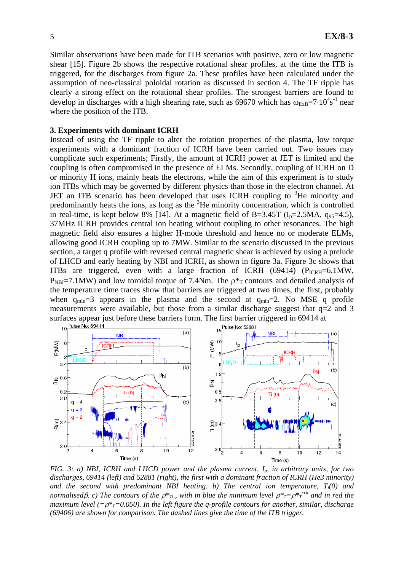Similar observations have been made for ITB scenarios with positive, zero or low magnetic shear [15]. Figure 2b shows the respective rotational shear profiles, at the time the ITB is triggered, for the discharges from figure 2a. These profiles have been calculated under the assumption of neo-classical poloidal rotation as discussed in section 4. The TF ripple has clearly a strong effect on the rotational shear profiles. The strongest barriers are found to develop in discharges with a high shearing rate, such as 69670 which has  $\omega_{ExB} = 7.10^4 s^{-1}$  near where the position of the ITB.

#### **3. Experiments with dominant ICRH**

Instead of using the TF ripple to alter the rotation properties of the plasma, low torque experiments with a dominant fraction of ICRH have been carried out. Two issues may complicate such experiments; Firstly, the amount of ICRH power at JET is limited and the coupling is often compromised in the presence of ELMs. Secondly, coupling of ICRH on D or minority H ions, mainly heats the electrons, while the aim of this experiment is to study ion ITBs which may be governed by different physics than those in the electron channel. At JET an ITB scenario has been developed that uses ICRH coupling to <sup>3</sup>He minority and predominantly heats the ions, as long as the  ${}^{3}$ He minority concentration, which is controlled in real-time, is kept below 8% [14]. At a magnetic field of B=3.45T ( $I<sub>p</sub>=2.5MA$ ,  $q<sub>95</sub>=4.5$ ), 37MHz ICRH provides central ion heating without coupling to other resonances. The high magnetic field also ensures a higher H-mode threshold and hence no or moderate ELMs, allowing good ICRH coupling up to 7MW. Similar to the scenario discussed in the previous section, a target q profile with reversed central magnetic shear is achieved by using a prelude of LHCD and early heating by NBI and ICRH, as shown in figure 3a. Figure 3c shows that ITBs are triggered, even with a large fraction of ICRH (69414) ( $P_{ICRH} = 6.1$ MW,  $P_{\text{NB}}=7.1$ MW) and low toroidal torque of 7.4Nm. The  $p*_{T}$  contours and detailed analysis of the temperature time traces show that barriers are triggered at two times, the first, probably when  $q_{min}=3$  appears in the plasma and the second at  $q_{min}=2$ . No MSE q profile measurements were available, but those from a similar discharge suggest that  $q=2$  and 3 surfaces appear just before these barriers form. The first barrier triggered in 69414 at  $10\frac{\text{Pulse No: 69414}}{\sqrt{10}}$ 



*FIG. 3: a) NBI, ICRH and LHCD power and the plasma current, I<sub>p</sub>, in arbitrary units, for two discharges, 69414 (left) and 52881 (right), the first with a dominant fraction of ICRH (He3 minority) and the second with predominant NBI heating. b) The central ion temperature, Ti(0) and normalisedβ. c) The contours of the*  $ρ^*$ *<sub>Ti</sub>., with in blue the minimum level*  $ρ^*$ *<sub><i>T*</sub>= $ρ^*$ <sub>*T*</sub><sup>*citt*</sup> and in red the *maximum level* ( $=p^*=0.050$ ). In the left figure the q-profile contours for another, similar, discharge *(69406) are shown for comparison. The dashed lines give the time of the ITB trigger.*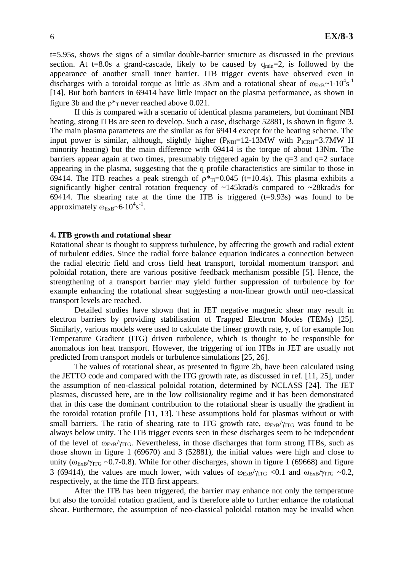t=5.95s, shows the signs of a similar double-barrier structure as discussed in the previous section. At t=8.0s a grand-cascade, likely to be caused by  $q_{min}=2$ , is followed by the appearance of another small inner barrier. ITB trigger events have observed even in discharges with a toroidal torque as little as 3Nm and a rotational shear of  $\omega_{ExB} \sim 1.10^4 s^{-1}$ [14]. But both barriers in 69414 have little impact on the plasma performance, as shown in figure 3b and the  $p_{\text{T}}$  never reached above 0.021.

 If this is compared with a scenario of identical plasma parameters, but dominant NBI heating, strong ITBs are seen to develop. Such a case, discharge 52881, is shown in figure 3. The main plasma parameters are the similar as for 69414 except for the heating scheme. The input power is similar, although, slightly higher  $(P_{NBI}=12-13MW)$  with  $P_{ICRH}=3.7MW$  H minority heating) but the main difference with 69414 is the torque of about 13Nm. The barriers appear again at two times, presumably triggered again by the  $q=3$  and  $q=2$  surface appearing in the plasma, suggesting that the q profile characteristics are similar to those in 69414. The ITB reaches a peak strength of  $\rho^*_{Ti}=0.045$  (t=10.4s). This plasma exhibits a significantly higher central rotation frequency of  $\sim$ 145krad/s compared to  $\sim$ 28krad/s for 69414. The shearing rate at the time the ITB is triggered  $(t=9.93s)$  was found to be approximately  $\omega_{ExB} \sim 6.10^4 s^{-1}$ .

### **4. ITB growth and rotational shear**

Rotational shear is thought to suppress turbulence, by affecting the growth and radial extent of turbulent eddies. Since the radial force balance equation indicates a connection between the radial electric field and cross field heat transport, toroidal momentum transport and poloidal rotation, there are various positive feedback mechanism possible [5]. Hence, the strengthening of a transport barrier may yield further suppression of turbulence by for example enhancing the rotational shear suggesting a non-linear growth until neo-classical transport levels are reached.

 Detailed studies have shown that in JET negative magnetic shear may result in electron barriers by providing stabilisation of Trapped Electron Modes (TEMs) [25]. Similarly, various models were used to calculate the linear growth rate, γ, of for example Ion Temperature Gradient (ITG) driven turbulence, which is thought to be responsible for anomalous ion heat transport. However, the triggering of ion ITBs in JET are usually not predicted from transport models or turbulence simulations [25, 26].

 The values of rotational shear, as presented in figure 2b, have been calculated using the JETTO code and compared with the ITG growth rate, as discussed in ref. [11, 25], under the assumption of neo-classical poloidal rotation, determined by NCLASS [24]. The JET plasmas, discussed here, are in the low collisionality regime and it has been demonstrated that in this case the dominant contribution to the rotational shear is usually the gradient in the toroidal rotation profile [11, 13]. These assumptions hold for plasmas without or with small barriers. The ratio of shearing rate to ITG growth rate,  $\omega_{ExB}/\gamma_{ITG}$  was found to be always below unity. The ITB trigger events seen in these discharges seem to be independent of the level of  $\omega_{ExB}/\gamma_{ITG}$ . Nevertheless, in those discharges that form strong ITBs, such as those shown in figure 1 (69670) and 3 (52881), the initial values were high and close to unity ( $\omega_{ExB}/\gamma_{ITG} \sim 0.7$ -0.8). While for other discharges, shown in figure 1 (69668) and figure 3 (69414), the values are much lower, with values of  $\omega_{ExB}/\gamma_{ITG}$  <0.1 and  $\omega_{ExB}/\gamma_{ITG}$  ~0.2, respectively, at the time the ITB first appears.

 After the ITB has been triggered, the barrier may enhance not only the temperature but also the toroidal rotation gradient, and is therefore able to further enhance the rotational shear. Furthermore, the assumption of neo-classical poloidal rotation may be invalid when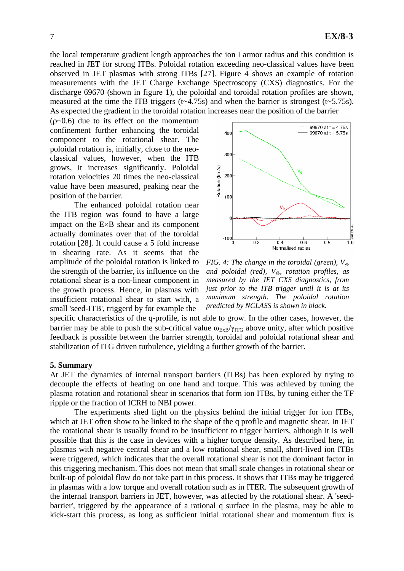the local temperature gradient length approaches the ion Larmor radius and this condition is reached in JET for strong ITBs. Poloidal rotation exceeding neo-classical values have been observed in JET plasmas with strong ITBs [27]. Figure 4 shows an example of rotation measurements with the JET Charge Exchange Spectroscopy (CXS) diagnostics. For the discharge 69670 (shown in figure 1), the poloidal and toroidal rotation profiles are shown, measured at the time the ITB triggers  $(t\sim 4.75s)$  and when the barrier is strongest  $(t\sim 5.75s)$ . As expected the gradient in the toroidal rotation increases near the position of the barrier

 $(p<0.6)$  due to its effect on the momentum confinement further enhancing the toroidal component to the rotational shear. The poloidal rotation is, initially, close to the neoclassical values, however, when the ITB grows, it increases significantly. Poloidal rotation velocities 20 times the neo-classical value have been measured, peaking near the position of the barrier.

 The enhanced poloidal rotation near the ITB region was found to have a large impact on the E×B shear and its component actually dominates over that of the toroidal rotation [28]. It could cause a 5 fold increase in shearing rate. As it seems that the amplitude of the poloidal rotation is linked to the strength of the barrier, its influence on the rotational shear is a non-linear component in the growth process. Hence, in plasmas with insufficient rotational shear to start with, a small 'seed-ITB', triggerd by for example the



*FIG. 4: The change in the toroidal (green),*  $V_{\phi}$ *and poloidal (red), V*<sup> $\theta$ </sup>*, rotation profiles, as measured by the JET CXS diagnostics, from just prior to the ITB trigger until it is at its maximum strength. The poloidal rotation predicted by NCLASS is shown in black.*

specific characteristics of the q-profile, is not able to grow. In the other cases, however, the barrier may be able to push the sub-critical value  $\omega_{ExB}/\gamma_{ITG}$  above unity, after which positive feedback is possible between the barrier strength, toroidal and poloidal rotational shear and stabilization of ITG driven turbulence, yielding a further growth of the barrier.

#### **5. Summary**

At JET the dynamics of internal transport barriers (ITBs) has been explored by trying to decouple the effects of heating on one hand and torque. This was achieved by tuning the plasma rotation and rotational shear in scenarios that form ion ITBs, by tuning either the TF ripple or the fraction of ICRH to NBI power.

 The experiments shed light on the physics behind the initial trigger for ion ITBs, which at JET often show to be linked to the shape of the q profile and magnetic shear. In JET the rotational shear is usually found to be insufficient to trigger barriers, although it is well possible that this is the case in devices with a higher torque density. As described here, in plasmas with negative central shear and a low rotational shear, small, short-lived ion ITBs were triggered, which indicates that the overall rotational shear is not the dominant factor in this triggering mechanism. This does not mean that small scale changes in rotational shear or built-up of poloidal flow do not take part in this process. It shows that ITBs may be triggered in plasmas with a low torque and overall rotation such as in ITER. The subsequent growth of the internal transport barriers in JET, however, was affected by the rotational shear. A 'seedbarrier', triggered by the appearance of a rational q surface in the plasma, may be able to kick-start this process, as long as sufficient initial rotational shear and momentum flux is